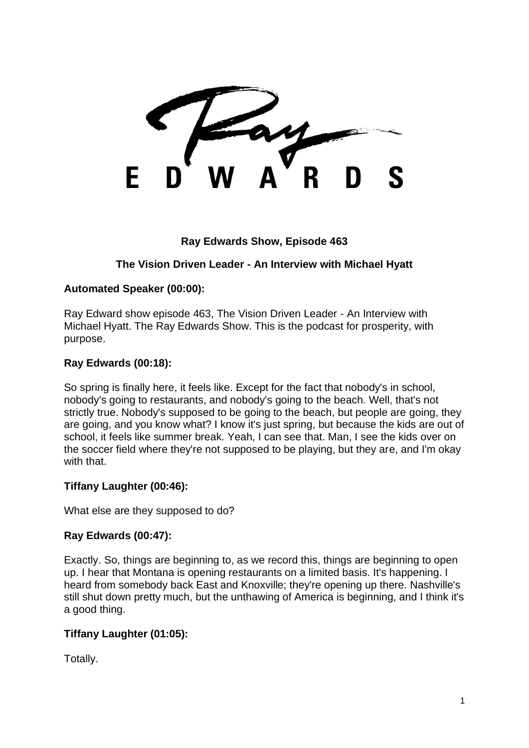F

## **Ray Edwards Show, Episode 463**

# **The Vision Driven Leader - An Interview with Michael Hyatt**

## **Automated Speaker (00:00):**

Ray Edward show episode 463, The Vision Driven Leader - An Interview with Michael Hyatt. The Ray Edwards Show. This is the podcast for prosperity, with purpose.

### **Ray Edwards (00:18):**

So spring is finally here, it feels like. Except for the fact that nobody's in school, nobody's going to restaurants, and nobody's going to the beach. Well, that's not strictly true. Nobody's supposed to be going to the beach, but people are going, they are going, and you know what? I know it's just spring, but because the kids are out of school, it feels like summer break. Yeah, I can see that. Man, I see the kids over on the soccer field where they're not supposed to be playing, but they are, and I'm okay with that.

## **Tiffany Laughter (00:46):**

What else are they supposed to do?

## **Ray Edwards (00:47):**

Exactly. So, things are beginning to, as we record this, things are beginning to open up. I hear that Montana is opening restaurants on a limited basis. It's happening. I heard from somebody back East and Knoxville; they're opening up there. Nashville's still shut down pretty much, but the unthawing of America is beginning, and I think it's a good thing.

## **Tiffany Laughter (01:05):**

Totally.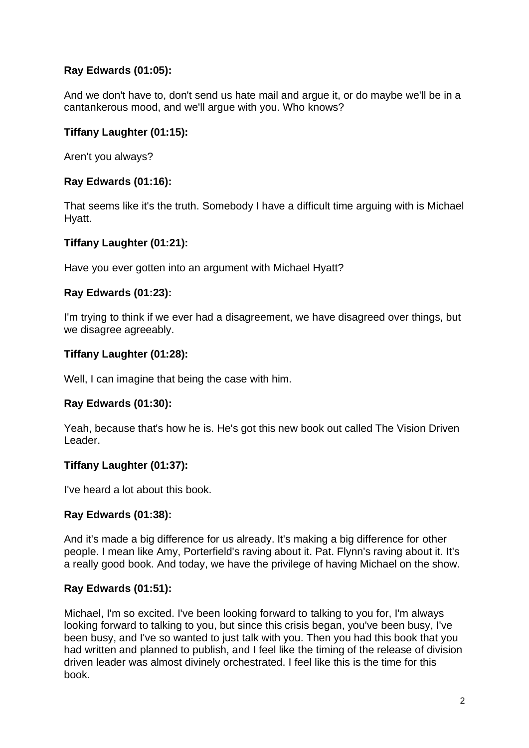# **Ray Edwards (01:05):**

And we don't have to, don't send us hate mail and argue it, or do maybe we'll be in a cantankerous mood, and we'll argue with you. Who knows?

## **Tiffany Laughter (01:15):**

Aren't you always?

## **Ray Edwards (01:16):**

That seems like it's the truth. Somebody I have a difficult time arguing with is Michael Hyatt.

## **Tiffany Laughter (01:21):**

Have you ever gotten into an argument with Michael Hyatt?

## **Ray Edwards (01:23):**

I'm trying to think if we ever had a disagreement, we have disagreed over things, but we disagree agreeably.

## **Tiffany Laughter (01:28):**

Well, I can imagine that being the case with him.

## **Ray Edwards (01:30):**

Yeah, because that's how he is. He's got this new book out called The Vision Driven Leader.

## **Tiffany Laughter (01:37):**

I've heard a lot about this book.

## **Ray Edwards (01:38):**

And it's made a big difference for us already. It's making a big difference for other people. I mean like Amy, Porterfield's raving about it. Pat. Flynn's raving about it. It's a really good book. And today, we have the privilege of having Michael on the show.

## **Ray Edwards (01:51):**

Michael, I'm so excited. I've been looking forward to talking to you for, I'm always looking forward to talking to you, but since this crisis began, you've been busy, I've been busy, and I've so wanted to just talk with you. Then you had this book that you had written and planned to publish, and I feel like the timing of the release of division driven leader was almost divinely orchestrated. I feel like this is the time for this book.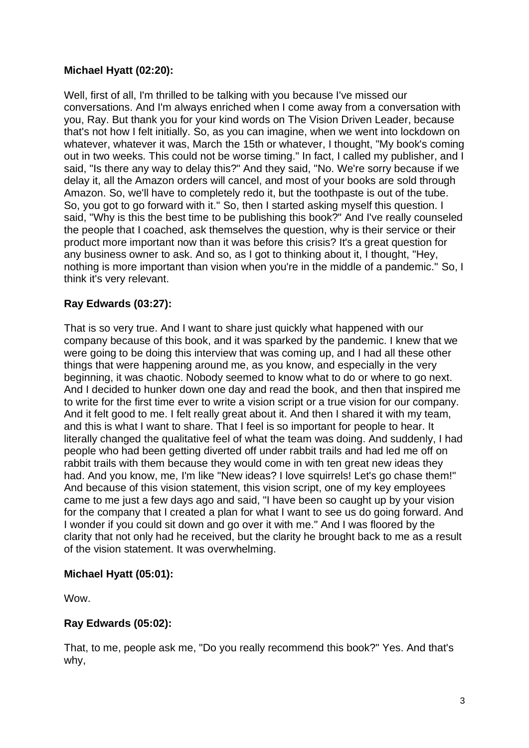## **Michael Hyatt (02:20):**

Well, first of all, I'm thrilled to be talking with you because I've missed our conversations. And I'm always enriched when I come away from a conversation with you, Ray. But thank you for your kind words on The Vision Driven Leader, because that's not how I felt initially. So, as you can imagine, when we went into lockdown on whatever, whatever it was, March the 15th or whatever, I thought, "My book's coming out in two weeks. This could not be worse timing." In fact, I called my publisher, and I said, "Is there any way to delay this?" And they said, "No. We're sorry because if we delay it, all the Amazon orders will cancel, and most of your books are sold through Amazon. So, we'll have to completely redo it, but the toothpaste is out of the tube. So, you got to go forward with it." So, then I started asking myself this question. I said, "Why is this the best time to be publishing this book?" And I've really counseled the people that I coached, ask themselves the question, why is their service or their product more important now than it was before this crisis? It's a great question for any business owner to ask. And so, as I got to thinking about it, I thought, "Hey, nothing is more important than vision when you're in the middle of a pandemic." So, I think it's very relevant.

# **Ray Edwards (03:27):**

That is so very true. And I want to share just quickly what happened with our company because of this book, and it was sparked by the pandemic. I knew that we were going to be doing this interview that was coming up, and I had all these other things that were happening around me, as you know, and especially in the very beginning, it was chaotic. Nobody seemed to know what to do or where to go next. And I decided to hunker down one day and read the book, and then that inspired me to write for the first time ever to write a vision script or a true vision for our company. And it felt good to me. I felt really great about it. And then I shared it with my team, and this is what I want to share. That I feel is so important for people to hear. It literally changed the qualitative feel of what the team was doing. And suddenly, I had people who had been getting diverted off under rabbit trails and had led me off on rabbit trails with them because they would come in with ten great new ideas they had. And you know, me, I'm like "New ideas? I love squirrels! Let's go chase them!" And because of this vision statement, this vision script, one of my key employees came to me just a few days ago and said, "I have been so caught up by your vision for the company that I created a plan for what I want to see us do going forward. And I wonder if you could sit down and go over it with me." And I was floored by the clarity that not only had he received, but the clarity he brought back to me as a result of the vision statement. It was overwhelming.

## **Michael Hyatt (05:01):**

Wow.

## **Ray Edwards (05:02):**

That, to me, people ask me, "Do you really recommend this book?" Yes. And that's why,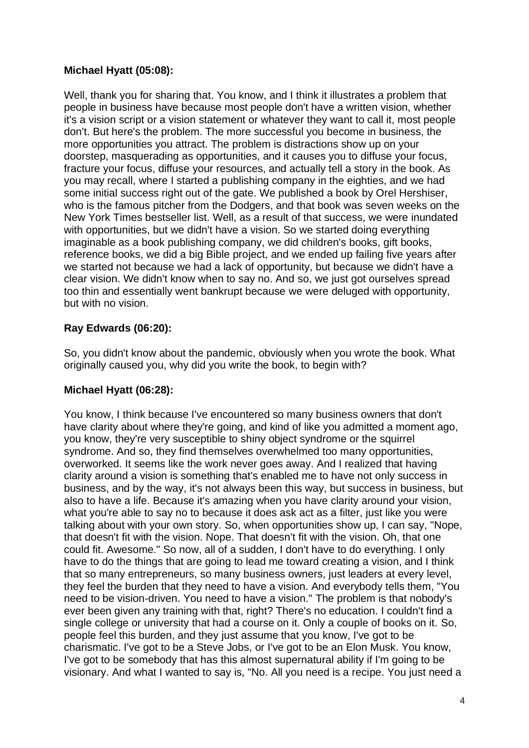## **Michael Hyatt (05:08):**

Well, thank you for sharing that. You know, and I think it illustrates a problem that people in business have because most people don't have a written vision, whether it's a vision script or a vision statement or whatever they want to call it, most people don't. But here's the problem. The more successful you become in business, the more opportunities you attract. The problem is distractions show up on your doorstep, masquerading as opportunities, and it causes you to diffuse your focus, fracture your focus, diffuse your resources, and actually tell a story in the book. As you may recall, where I started a publishing company in the eighties, and we had some initial success right out of the gate. We published a book by Orel Hershiser, who is the famous pitcher from the Dodgers, and that book was seven weeks on the New York Times bestseller list. Well, as a result of that success, we were inundated with opportunities, but we didn't have a vision. So we started doing everything imaginable as a book publishing company, we did children's books, gift books, reference books, we did a big Bible project, and we ended up failing five years after we started not because we had a lack of opportunity, but because we didn't have a clear vision. We didn't know when to say no. And so, we just got ourselves spread too thin and essentially went bankrupt because we were deluged with opportunity, but with no vision.

## **Ray Edwards (06:20):**

So, you didn't know about the pandemic, obviously when you wrote the book. What originally caused you, why did you write the book, to begin with?

### **Michael Hyatt (06:28):**

You know, I think because I've encountered so many business owners that don't have clarity about where they're going, and kind of like you admitted a moment ago, you know, they're very susceptible to shiny object syndrome or the squirrel syndrome. And so, they find themselves overwhelmed too many opportunities, overworked. It seems like the work never goes away. And I realized that having clarity around a vision is something that's enabled me to have not only success in business, and by the way, it's not always been this way, but success in business, but also to have a life. Because it's amazing when you have clarity around your vision, what you're able to say no to because it does ask act as a filter, just like you were talking about with your own story. So, when opportunities show up, I can say, "Nope, that doesn't fit with the vision. Nope. That doesn't fit with the vision. Oh, that one could fit. Awesome." So now, all of a sudden, I don't have to do everything. I only have to do the things that are going to lead me toward creating a vision, and I think that so many entrepreneurs, so many business owners, just leaders at every level, they feel the burden that they need to have a vision. And everybody tells them, "You need to be vision-driven. You need to have a vision." The problem is that nobody's ever been given any training with that, right? There's no education. I couldn't find a single college or university that had a course on it. Only a couple of books on it. So, people feel this burden, and they just assume that you know, I've got to be charismatic. I've got to be a Steve Jobs, or I've got to be an Elon Musk. You know, I've got to be somebody that has this almost supernatural ability if I'm going to be visionary. And what I wanted to say is, "No. All you need is a recipe. You just need a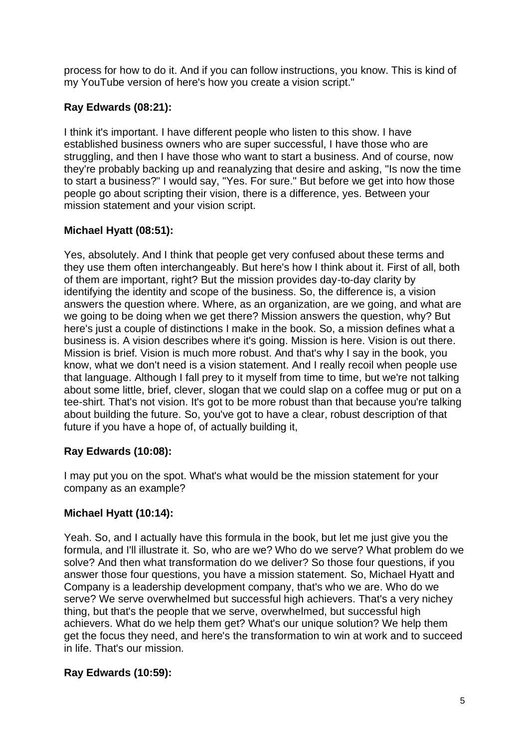process for how to do it. And if you can follow instructions, you know. This is kind of my YouTube version of here's how you create a vision script."

# **Ray Edwards (08:21):**

I think it's important. I have different people who listen to this show. I have established business owners who are super successful, I have those who are struggling, and then I have those who want to start a business. And of course, now they're probably backing up and reanalyzing that desire and asking, "Is now the time to start a business?" I would say, "Yes. For sure." But before we get into how those people go about scripting their vision, there is a difference, yes. Between your mission statement and your vision script.

# **Michael Hyatt (08:51):**

Yes, absolutely. And I think that people get very confused about these terms and they use them often interchangeably. But here's how I think about it. First of all, both of them are important, right? But the mission provides day-to-day clarity by identifying the identity and scope of the business. So, the difference is, a vision answers the question where. Where, as an organization, are we going, and what are we going to be doing when we get there? Mission answers the question, why? But here's just a couple of distinctions I make in the book. So, a mission defines what a business is. A vision describes where it's going. Mission is here. Vision is out there. Mission is brief. Vision is much more robust. And that's why I say in the book, you know, what we don't need is a vision statement. And I really recoil when people use that language. Although I fall prey to it myself from time to time, but we're not talking about some little, brief, clever, slogan that we could slap on a coffee mug or put on a tee-shirt. That's not vision. It's got to be more robust than that because you're talking about building the future. So, you've got to have a clear, robust description of that future if you have a hope of, of actually building it,

## **Ray Edwards (10:08):**

I may put you on the spot. What's what would be the mission statement for your company as an example?

## **Michael Hyatt (10:14):**

Yeah. So, and I actually have this formula in the book, but let me just give you the formula, and I'll illustrate it. So, who are we? Who do we serve? What problem do we solve? And then what transformation do we deliver? So those four questions, if you answer those four questions, you have a mission statement. So, Michael Hyatt and Company is a leadership development company, that's who we are. Who do we serve? We serve overwhelmed but successful high achievers. That's a very nichey thing, but that's the people that we serve, overwhelmed, but successful high achievers. What do we help them get? What's our unique solution? We help them get the focus they need, and here's the transformation to win at work and to succeed in life. That's our mission.

# **Ray Edwards (10:59):**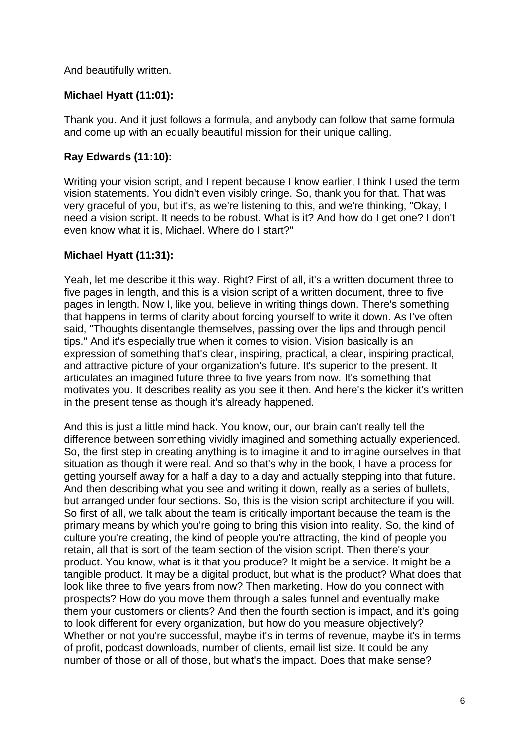And beautifully written.

## **Michael Hyatt (11:01):**

Thank you. And it just follows a formula, and anybody can follow that same formula and come up with an equally beautiful mission for their unique calling.

## **Ray Edwards (11:10):**

Writing your vision script, and I repent because I know earlier, I think I used the term vision statements. You didn't even visibly cringe. So, thank you for that. That was very graceful of you, but it's, as we're listening to this, and we're thinking, "Okay, I need a vision script. It needs to be robust. What is it? And how do I get one? I don't even know what it is, Michael. Where do I start?"

### **Michael Hyatt (11:31):**

Yeah, let me describe it this way. Right? First of all, it's a written document three to five pages in length, and this is a vision script of a written document, three to five pages in length. Now I, like you, believe in writing things down. There's something that happens in terms of clarity about forcing yourself to write it down. As I've often said, "Thoughts disentangle themselves, passing over the lips and through pencil tips." And it's especially true when it comes to vision. Vision basically is an expression of something that's clear, inspiring, practical, a clear, inspiring practical, and attractive picture of your organization's future. It's superior to the present. It articulates an imagined future three to five years from now. It's something that motivates you. It describes reality as you see it then. And here's the kicker it's written in the present tense as though it's already happened.

And this is just a little mind hack. You know, our, our brain can't really tell the difference between something vividly imagined and something actually experienced. So, the first step in creating anything is to imagine it and to imagine ourselves in that situation as though it were real. And so that's why in the book, I have a process for getting yourself away for a half a day to a day and actually stepping into that future. And then describing what you see and writing it down, really as a series of bullets, but arranged under four sections. So, this is the vision script architecture if you will. So first of all, we talk about the team is critically important because the team is the primary means by which you're going to bring this vision into reality. So, the kind of culture you're creating, the kind of people you're attracting, the kind of people you retain, all that is sort of the team section of the vision script. Then there's your product. You know, what is it that you produce? It might be a service. It might be a tangible product. It may be a digital product, but what is the product? What does that look like three to five years from now? Then marketing. How do you connect with prospects? How do you move them through a sales funnel and eventually make them your customers or clients? And then the fourth section is impact, and it's going to look different for every organization, but how do you measure objectively? Whether or not you're successful, maybe it's in terms of revenue, maybe it's in terms of profit, podcast downloads, number of clients, email list size. It could be any number of those or all of those, but what's the impact. Does that make sense?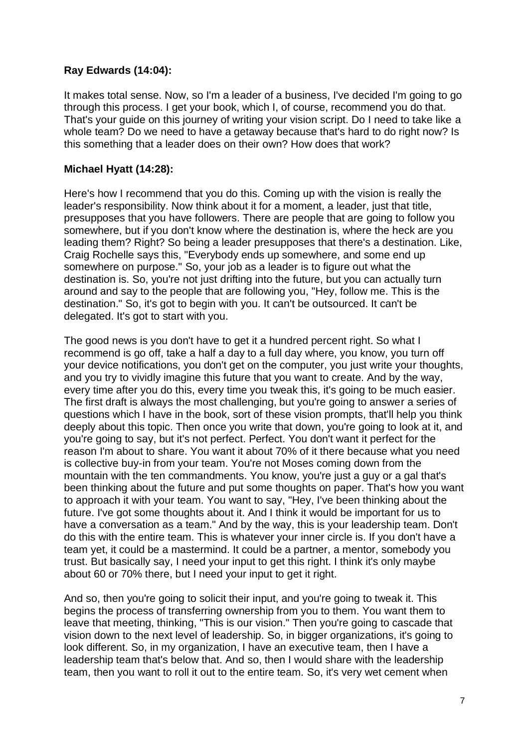### **Ray Edwards (14:04):**

It makes total sense. Now, so I'm a leader of a business, I've decided I'm going to go through this process. I get your book, which I, of course, recommend you do that. That's your guide on this journey of writing your vision script. Do I need to take like a whole team? Do we need to have a getaway because that's hard to do right now? Is this something that a leader does on their own? How does that work?

### **Michael Hyatt (14:28):**

Here's how I recommend that you do this. Coming up with the vision is really the leader's responsibility. Now think about it for a moment, a leader, just that title, presupposes that you have followers. There are people that are going to follow you somewhere, but if you don't know where the destination is, where the heck are you leading them? Right? So being a leader presupposes that there's a destination. Like, Craig Rochelle says this, "Everybody ends up somewhere, and some end up somewhere on purpose." So, your job as a leader is to figure out what the destination is. So, you're not just drifting into the future, but you can actually turn around and say to the people that are following you, "Hey, follow me. This is the destination." So, it's got to begin with you. It can't be outsourced. It can't be delegated. It's got to start with you.

The good news is you don't have to get it a hundred percent right. So what I recommend is go off, take a half a day to a full day where, you know, you turn off your device notifications, you don't get on the computer, you just write your thoughts, and you try to vividly imagine this future that you want to create. And by the way, every time after you do this, every time you tweak this, it's going to be much easier. The first draft is always the most challenging, but you're going to answer a series of questions which I have in the book, sort of these vision prompts, that'll help you think deeply about this topic. Then once you write that down, you're going to look at it, and you're going to say, but it's not perfect. Perfect. You don't want it perfect for the reason I'm about to share. You want it about 70% of it there because what you need is collective buy-in from your team. You're not Moses coming down from the mountain with the ten commandments. You know, you're just a guy or a gal that's been thinking about the future and put some thoughts on paper. That's how you want to approach it with your team. You want to say, "Hey, I've been thinking about the future. I've got some thoughts about it. And I think it would be important for us to have a conversation as a team." And by the way, this is your leadership team. Don't do this with the entire team. This is whatever your inner circle is. If you don't have a team yet, it could be a mastermind. It could be a partner, a mentor, somebody you trust. But basically say, I need your input to get this right. I think it's only maybe about 60 or 70% there, but I need your input to get it right.

And so, then you're going to solicit their input, and you're going to tweak it. This begins the process of transferring ownership from you to them. You want them to leave that meeting, thinking, "This is our vision." Then you're going to cascade that vision down to the next level of leadership. So, in bigger organizations, it's going to look different. So, in my organization, I have an executive team, then I have a leadership team that's below that. And so, then I would share with the leadership team, then you want to roll it out to the entire team. So, it's very wet cement when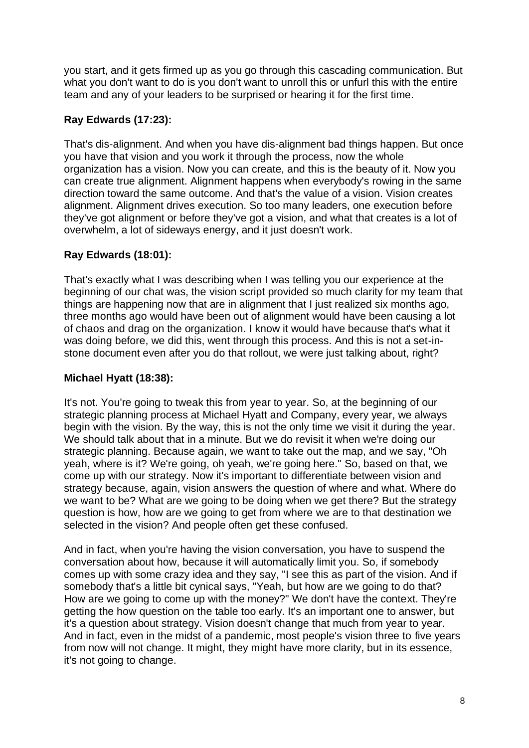you start, and it gets firmed up as you go through this cascading communication. But what you don't want to do is you don't want to unroll this or unfurl this with the entire team and any of your leaders to be surprised or hearing it for the first time.

# **Ray Edwards (17:23):**

That's dis-alignment. And when you have dis-alignment bad things happen. But once you have that vision and you work it through the process, now the whole organization has a vision. Now you can create, and this is the beauty of it. Now you can create true alignment. Alignment happens when everybody's rowing in the same direction toward the same outcome. And that's the value of a vision. Vision creates alignment. Alignment drives execution. So too many leaders, one execution before they've got alignment or before they've got a vision, and what that creates is a lot of overwhelm, a lot of sideways energy, and it just doesn't work.

# **Ray Edwards (18:01):**

That's exactly what I was describing when I was telling you our experience at the beginning of our chat was, the vision script provided so much clarity for my team that things are happening now that are in alignment that I just realized six months ago, three months ago would have been out of alignment would have been causing a lot of chaos and drag on the organization. I know it would have because that's what it was doing before, we did this, went through this process. And this is not a set-instone document even after you do that rollout, we were just talking about, right?

# **Michael Hyatt (18:38):**

It's not. You're going to tweak this from year to year. So, at the beginning of our strategic planning process at Michael Hyatt and Company, every year, we always begin with the vision. By the way, this is not the only time we visit it during the year. We should talk about that in a minute. But we do revisit it when we're doing our strategic planning. Because again, we want to take out the map, and we say, "Oh yeah, where is it? We're going, oh yeah, we're going here." So, based on that, we come up with our strategy. Now it's important to differentiate between vision and strategy because, again, vision answers the question of where and what. Where do we want to be? What are we going to be doing when we get there? But the strategy question is how, how are we going to get from where we are to that destination we selected in the vision? And people often get these confused.

And in fact, when you're having the vision conversation, you have to suspend the conversation about how, because it will automatically limit you. So, if somebody comes up with some crazy idea and they say, "I see this as part of the vision. And if somebody that's a little bit cynical says, "Yeah, but how are we going to do that? How are we going to come up with the money?" We don't have the context. They're getting the how question on the table too early. It's an important one to answer, but it's a question about strategy. Vision doesn't change that much from year to year. And in fact, even in the midst of a pandemic, most people's vision three to five years from now will not change. It might, they might have more clarity, but in its essence, it's not going to change.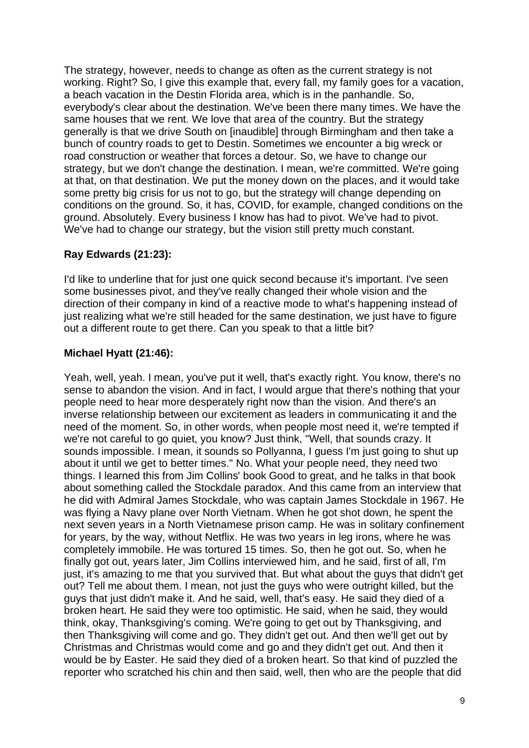The strategy, however, needs to change as often as the current strategy is not working. Right? So, I give this example that, every fall, my family goes for a vacation, a beach vacation in the Destin Florida area, which is in the panhandle. So, everybody's clear about the destination. We've been there many times. We have the same houses that we rent. We love that area of the country. But the strategy generally is that we drive South on [inaudible] through Birmingham and then take a bunch of country roads to get to Destin. Sometimes we encounter a big wreck or road construction or weather that forces a detour. So, we have to change our strategy, but we don't change the destination. I mean, we're committed. We're going at that, on that destination. We put the money down on the places, and it would take some pretty big crisis for us not to go, but the strategy will change depending on conditions on the ground. So, it has, COVID, for example, changed conditions on the ground. Absolutely. Every business I know has had to pivot. We've had to pivot. We've had to change our strategy, but the vision still pretty much constant.

## **Ray Edwards (21:23):**

I'd like to underline that for just one quick second because it's important. I've seen some businesses pivot, and they've really changed their whole vision and the direction of their company in kind of a reactive mode to what's happening instead of just realizing what we're still headed for the same destination, we just have to figure out a different route to get there. Can you speak to that a little bit?

# **Michael Hyatt (21:46):**

Yeah, well, yeah. I mean, you've put it well, that's exactly right. You know, there's no sense to abandon the vision. And in fact, I would argue that there's nothing that your people need to hear more desperately right now than the vision. And there's an inverse relationship between our excitement as leaders in communicating it and the need of the moment. So, in other words, when people most need it, we're tempted if we're not careful to go quiet, you know? Just think, "Well, that sounds crazy. It sounds impossible. I mean, it sounds so Pollyanna, I guess I'm just going to shut up about it until we get to better times." No. What your people need, they need two things. I learned this from Jim Collins' book Good to great, and he talks in that book about something called the Stockdale paradox. And this came from an interview that he did with Admiral James Stockdale, who was captain James Stockdale in 1967. He was flying a Navy plane over North Vietnam. When he got shot down, he spent the next seven years in a North Vietnamese prison camp. He was in solitary confinement for years, by the way, without Netflix. He was two years in leg irons, where he was completely immobile. He was tortured 15 times. So, then he got out. So, when he finally got out, years later, Jim Collins interviewed him, and he said, first of all, I'm just, it's amazing to me that you survived that. But what about the guys that didn't get out? Tell me about them. I mean, not just the guys who were outright killed, but the guys that just didn't make it. And he said, well, that's easy. He said they died of a broken heart. He said they were too optimistic. He said, when he said, they would think, okay, Thanksgiving's coming. We're going to get out by Thanksgiving, and then Thanksgiving will come and go. They didn't get out. And then we'll get out by Christmas and Christmas would come and go and they didn't get out. And then it would be by Easter. He said they died of a broken heart. So that kind of puzzled the reporter who scratched his chin and then said, well, then who are the people that did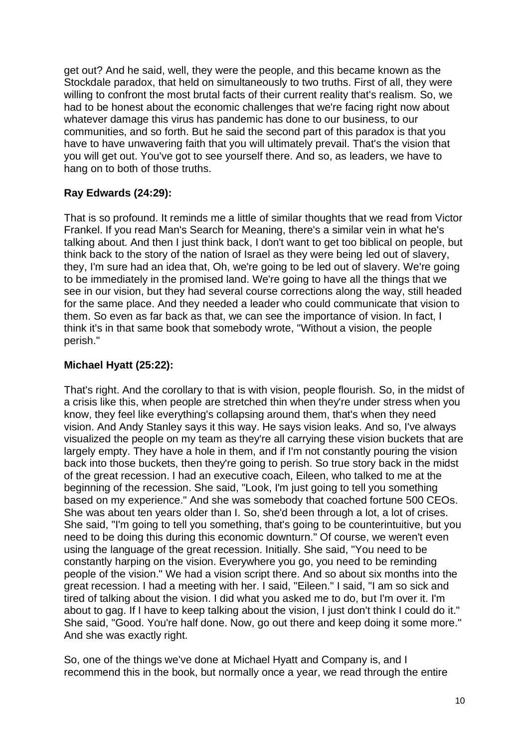get out? And he said, well, they were the people, and this became known as the Stockdale paradox, that held on simultaneously to two truths. First of all, they were willing to confront the most brutal facts of their current reality that's realism. So, we had to be honest about the economic challenges that we're facing right now about whatever damage this virus has pandemic has done to our business, to our communities, and so forth. But he said the second part of this paradox is that you have to have unwavering faith that you will ultimately prevail. That's the vision that you will get out. You've got to see yourself there. And so, as leaders, we have to hang on to both of those truths.

# **Ray Edwards (24:29):**

That is so profound. It reminds me a little of similar thoughts that we read from Victor Frankel. If you read Man's Search for Meaning, there's a similar vein in what he's talking about. And then I just think back, I don't want to get too biblical on people, but think back to the story of the nation of Israel as they were being led out of slavery, they, I'm sure had an idea that, Oh, we're going to be led out of slavery. We're going to be immediately in the promised land. We're going to have all the things that we see in our vision, but they had several course corrections along the way, still headed for the same place. And they needed a leader who could communicate that vision to them. So even as far back as that, we can see the importance of vision. In fact, I think it's in that same book that somebody wrote, "Without a vision, the people perish."

## **Michael Hyatt (25:22):**

That's right. And the corollary to that is with vision, people flourish. So, in the midst of a crisis like this, when people are stretched thin when they're under stress when you know, they feel like everything's collapsing around them, that's when they need vision. And Andy Stanley says it this way. He says vision leaks. And so, I've always visualized the people on my team as they're all carrying these vision buckets that are largely empty. They have a hole in them, and if I'm not constantly pouring the vision back into those buckets, then they're going to perish. So true story back in the midst of the great recession. I had an executive coach, Eileen, who talked to me at the beginning of the recession. She said, "Look, I'm just going to tell you something based on my experience." And she was somebody that coached fortune 500 CEOs. She was about ten years older than I. So, she'd been through a lot, a lot of crises. She said, "I'm going to tell you something, that's going to be counterintuitive, but you need to be doing this during this economic downturn." Of course, we weren't even using the language of the great recession. Initially. She said, "You need to be constantly harping on the vision. Everywhere you go, you need to be reminding people of the vision." We had a vision script there. And so about six months into the great recession. I had a meeting with her. I said, "Eileen." I said, "I am so sick and tired of talking about the vision. I did what you asked me to do, but I'm over it. I'm about to gag. If I have to keep talking about the vision. I just don't think I could do it." She said, "Good. You're half done. Now, go out there and keep doing it some more." And she was exactly right.

So, one of the things we've done at Michael Hyatt and Company is, and I recommend this in the book, but normally once a year, we read through the entire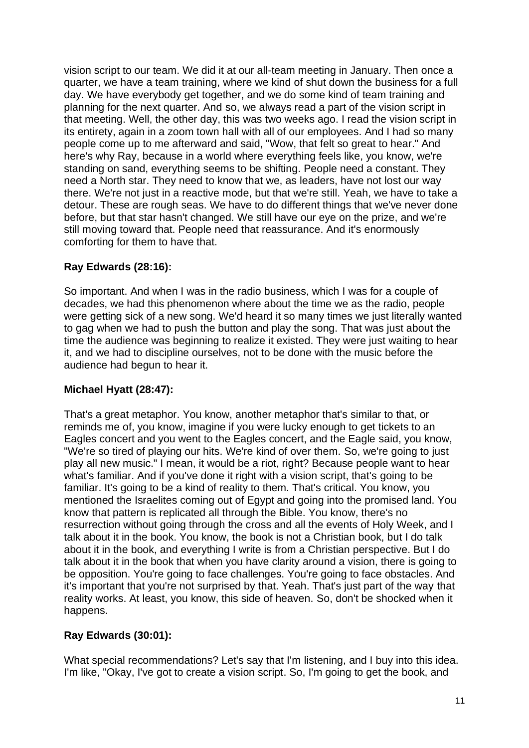vision script to our team. We did it at our all-team meeting in January. Then once a quarter, we have a team training, where we kind of shut down the business for a full day. We have everybody get together, and we do some kind of team training and planning for the next quarter. And so, we always read a part of the vision script in that meeting. Well, the other day, this was two weeks ago. I read the vision script in its entirety, again in a zoom town hall with all of our employees. And I had so many people come up to me afterward and said, "Wow, that felt so great to hear." And here's why Ray, because in a world where everything feels like, you know, we're standing on sand, everything seems to be shifting. People need a constant. They need a North star. They need to know that we, as leaders, have not lost our way there. We're not just in a reactive mode, but that we're still. Yeah, we have to take a detour. These are rough seas. We have to do different things that we've never done before, but that star hasn't changed. We still have our eye on the prize, and we're still moving toward that. People need that reassurance. And it's enormously comforting for them to have that.

# **Ray Edwards (28:16):**

So important. And when I was in the radio business, which I was for a couple of decades, we had this phenomenon where about the time we as the radio, people were getting sick of a new song. We'd heard it so many times we just literally wanted to gag when we had to push the button and play the song. That was just about the time the audience was beginning to realize it existed. They were just waiting to hear it, and we had to discipline ourselves, not to be done with the music before the audience had begun to hear it.

## **Michael Hyatt (28:47):**

That's a great metaphor. You know, another metaphor that's similar to that, or reminds me of, you know, imagine if you were lucky enough to get tickets to an Eagles concert and you went to the Eagles concert, and the Eagle said, you know, "We're so tired of playing our hits. We're kind of over them. So, we're going to just play all new music." I mean, it would be a riot, right? Because people want to hear what's familiar. And if you've done it right with a vision script, that's going to be familiar. It's going to be a kind of reality to them. That's critical. You know, you mentioned the Israelites coming out of Egypt and going into the promised land. You know that pattern is replicated all through the Bible. You know, there's no resurrection without going through the cross and all the events of Holy Week, and I talk about it in the book. You know, the book is not a Christian book, but I do talk about it in the book, and everything I write is from a Christian perspective. But I do talk about it in the book that when you have clarity around a vision, there is going to be opposition. You're going to face challenges. You're going to face obstacles. And it's important that you're not surprised by that. Yeah. That's just part of the way that reality works. At least, you know, this side of heaven. So, don't be shocked when it happens.

# **Ray Edwards (30:01):**

What special recommendations? Let's say that I'm listening, and I buy into this idea. I'm like, "Okay, I've got to create a vision script. So, I'm going to get the book, and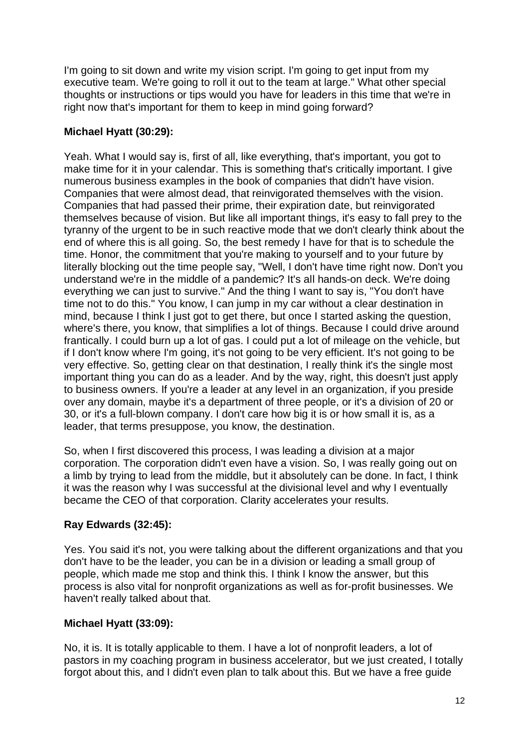I'm going to sit down and write my vision script. I'm going to get input from my executive team. We're going to roll it out to the team at large." What other special thoughts or instructions or tips would you have for leaders in this time that we're in right now that's important for them to keep in mind going forward?

## **Michael Hyatt (30:29):**

Yeah. What I would say is, first of all, like everything, that's important, you got to make time for it in your calendar. This is something that's critically important. I give numerous business examples in the book of companies that didn't have vision. Companies that were almost dead, that reinvigorated themselves with the vision. Companies that had passed their prime, their expiration date, but reinvigorated themselves because of vision. But like all important things, it's easy to fall prey to the tyranny of the urgent to be in such reactive mode that we don't clearly think about the end of where this is all going. So, the best remedy I have for that is to schedule the time. Honor, the commitment that you're making to yourself and to your future by literally blocking out the time people say, "Well, I don't have time right now. Don't you understand we're in the middle of a pandemic? It's all hands-on deck. We're doing everything we can just to survive." And the thing I want to say is, "You don't have time not to do this." You know, I can jump in my car without a clear destination in mind, because I think I just got to get there, but once I started asking the question, where's there, you know, that simplifies a lot of things. Because I could drive around frantically. I could burn up a lot of gas. I could put a lot of mileage on the vehicle, but if I don't know where I'm going, it's not going to be very efficient. It's not going to be very effective. So, getting clear on that destination, I really think it's the single most important thing you can do as a leader. And by the way, right, this doesn't just apply to business owners. If you're a leader at any level in an organization, if you preside over any domain, maybe it's a department of three people, or it's a division of 20 or 30, or it's a full-blown company. I don't care how big it is or how small it is, as a leader, that terms presuppose, you know, the destination.

So, when I first discovered this process, I was leading a division at a major corporation. The corporation didn't even have a vision. So, I was really going out on a limb by trying to lead from the middle, but it absolutely can be done. In fact, I think it was the reason why I was successful at the divisional level and why I eventually became the CEO of that corporation. Clarity accelerates your results.

# **Ray Edwards (32:45):**

Yes. You said it's not, you were talking about the different organizations and that you don't have to be the leader, you can be in a division or leading a small group of people, which made me stop and think this. I think I know the answer, but this process is also vital for nonprofit organizations as well as for-profit businesses. We haven't really talked about that.

## **Michael Hyatt (33:09):**

No, it is. It is totally applicable to them. I have a lot of nonprofit leaders, a lot of pastors in my coaching program in business accelerator, but we just created, I totally forgot about this, and I didn't even plan to talk about this. But we have a free guide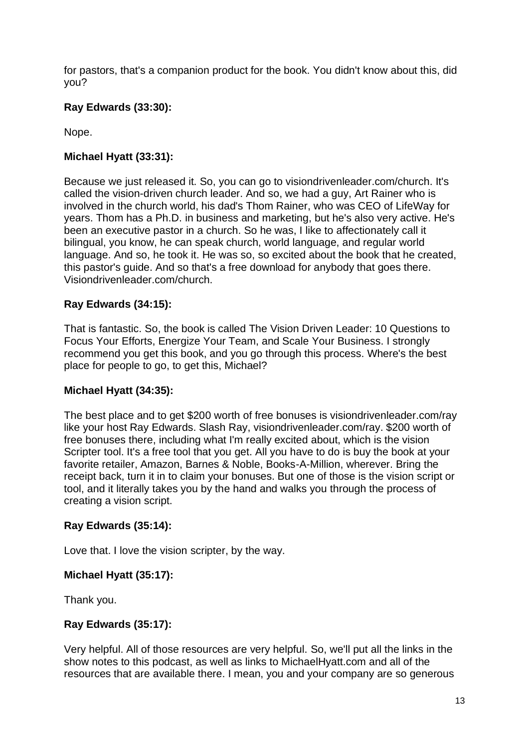for pastors, that's a companion product for the book. You didn't know about this, did you?

## **Ray Edwards (33:30):**

Nope.

# **Michael Hyatt (33:31):**

Because we just released it. So, you can go to visiondrivenleader.com/church. It's called the vision-driven church leader. And so, we had a guy, Art Rainer who is involved in the church world, his dad's Thom Rainer, who was CEO of LifeWay for years. Thom has a Ph.D. in business and marketing, but he's also very active. He's been an executive pastor in a church. So he was, I like to affectionately call it bilingual, you know, he can speak church, world language, and regular world language. And so, he took it. He was so, so excited about the book that he created, this pastor's guide. And so that's a free download for anybody that goes there. Visiondrivenleader.com/church.

# **Ray Edwards (34:15):**

That is fantastic. So, the book is called The Vision Driven Leader: 10 Questions to Focus Your Efforts, Energize Your Team, and Scale Your Business. I strongly recommend you get this book, and you go through this process. Where's the best place for people to go, to get this, Michael?

## **Michael Hyatt (34:35):**

The best place and to get \$200 worth of free bonuses is visiondrivenleader.com/ray like your host Ray Edwards. Slash Ray, visiondrivenleader.com/ray. \$200 worth of free bonuses there, including what I'm really excited about, which is the vision Scripter tool. It's a free tool that you get. All you have to do is buy the book at your favorite retailer, Amazon, Barnes & Noble, Books-A-Million, wherever. Bring the receipt back, turn it in to claim your bonuses. But one of those is the vision script or tool, and it literally takes you by the hand and walks you through the process of creating a vision script.

## **Ray Edwards (35:14):**

Love that. I love the vision scripter, by the way.

### **Michael Hyatt (35:17):**

Thank you.

## **Ray Edwards (35:17):**

Very helpful. All of those resources are very helpful. So, we'll put all the links in the show notes to this podcast, as well as links to MichaelHyatt.com and all of the resources that are available there. I mean, you and your company are so generous